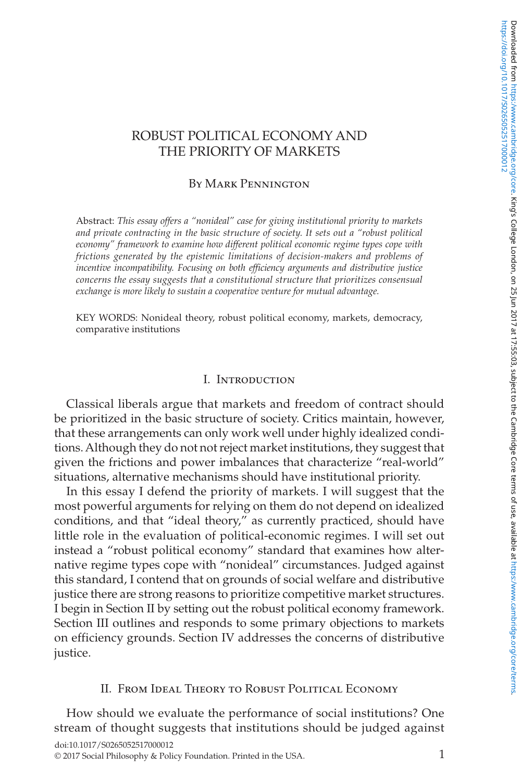# ROBUST POLITICAL ECONOMY AND THE PRIORITY OF MARKETS

## By Mark Pennington

 Abstract: *This essay offers a "nonideal" case for giving institutional priority to markets and private contracting in the basic structure of society. It sets out a "robust political economy" framework to examine how different political economic regime types cope with frictions generated by the epistemic limitations of decision-makers and problems of incentive incompatibility. Focusing on both efficiency arguments and distributive justice concerns the essay suggests that a constitutional structure that prioritizes consensual exchange is more likely to sustain a cooperative venture for mutual advantage.* 

KEY WORDS: Nonideal theory, robust political economy, markets, democracy, comparative institutions

## I. INTRODUCTION

 Classical liberals argue that markets and freedom of contract should be prioritized in the basic structure of society. Critics maintain, however, that these arrangements can only work well under highly idealized conditions. Although they do not not reject market institutions, they suggest that given the frictions and power imbalances that characterize "real-world" situations, alternative mechanisms should have institutional priority.

 In this essay I defend the priority of markets. I will suggest that the most powerful arguments for relying on them do not depend on idealized conditions, and that "ideal theory," as currently practiced, should have little role in the evaluation of political-economic regimes. I will set out instead a "robust political economy" standard that examines how alternative regime types cope with "nonideal" circumstances. Judged against this standard, I contend that on grounds of social welfare and distributive justice there are strong reasons to prioritize competitive market structures. I begin in Section II by setting out the robust political economy framework. Section III outlines and responds to some primary objections to markets on efficiency grounds. Section IV addresses the concerns of distributive justice.

## II. FROM IDEAL THEORY TO ROBUST POLITICAL ECONOMY

 How should we evaluate the performance of social institutions? One stream of thought suggests that institutions should be judged against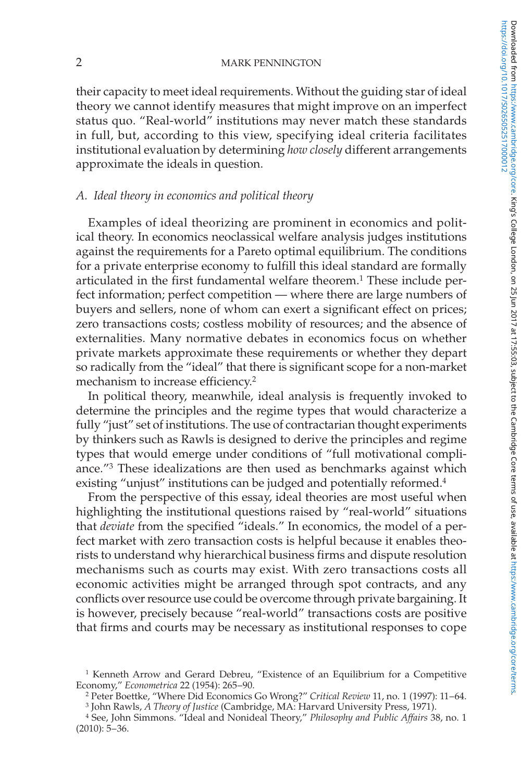their capacity to meet ideal requirements. Without the guiding star of ideal theory we cannot identify measures that might improve on an imperfect status quo. "Real-world" institutions may never match these standards in full, but, according to this view, specifying ideal criteria facilitates institutional evaluation by determining *how closely* different arrangements approximate the ideals in question.

#### *A. Ideal theory in economics and political theory*

 Examples of ideal theorizing are prominent in economics and political theory. In economics neoclassical welfare analysis judges institutions against the requirements for a Pareto optimal equilibrium. The conditions for a private enterprise economy to fulfill this ideal standard are formally articulated in the first fundamental welfare theorem.<sup>1</sup> These include perfect information; perfect competition — where there are large numbers of buyers and sellers, none of whom can exert a significant effect on prices; zero transactions costs; costless mobility of resources; and the absence of externalities. Many normative debates in economics focus on whether private markets approximate these requirements or whether they depart so radically from the "ideal" that there is significant scope for a non-market mechanism to increase efficiency.<sup>2</sup>

 In political theory, meanwhile, ideal analysis is frequently invoked to determine the principles and the regime types that would characterize a fully "just" set of institutions. The use of contractarian thought experiments by thinkers such as Rawls is designed to derive the principles and regime types that would emerge under conditions of "full motivational compliance.<sup>"3</sup> These idealizations are then used as benchmarks against which existing "unjust" institutions can be judged and potentially reformed.<sup>4</sup>

 From the perspective of this essay, ideal theories are most useful when highlighting the institutional questions raised by "real-world" situations that *deviate* from the specified "ideals." In economics, the model of a perfect market with zero transaction costs is helpful because it enables theorists to understand why hierarchical business firms and dispute resolution mechanisms such as courts may exist. With zero transactions costs all economic activities might be arranged through spot contracts, and any conflicts over resource use could be overcome through private bargaining. It is however, precisely because "real-world" transactions costs are positive that firms and courts may be necessary as institutional responses to cope

<sup>&</sup>lt;sup>1</sup> Kenneth Arrow and Gerard Debreu, "Existence of an Equilibrium for a Competitive Economy," *Econometrica* 22 (1954): 265–90.

<sup>&</sup>lt;sup>2</sup> Peter Boettke, "Where Did Economics Go Wrong?" Critical Review 11, no. 1 (1997): 11–64.<br><sup>3</sup> John Rawls, *A Theory of Justice* (Cambridge, MA: Harvard University Press, 1971).<br><sup>4</sup> See, John Simmons. "Ideal and Nonideal

 $(2010): 5 - 36.$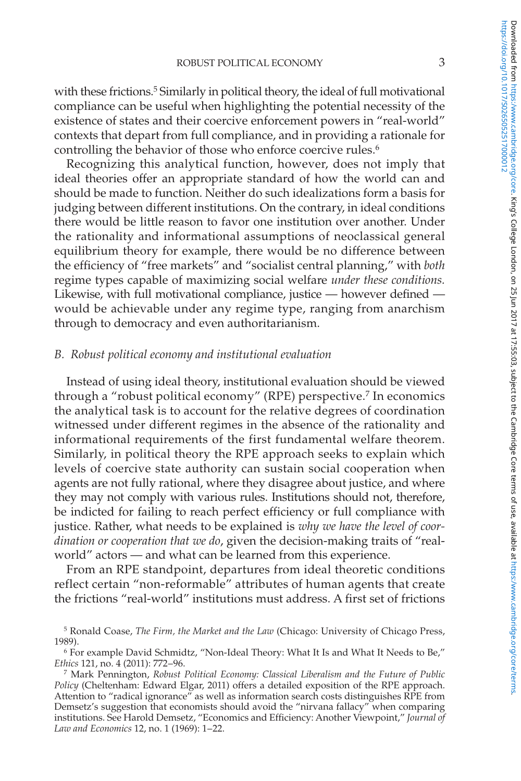with these frictions.<sup>5</sup> Similarly in political theory, the ideal of full motivational compliance can be useful when highlighting the potential necessity of the existence of states and their coercive enforcement powers in "real-world" contexts that depart from full compliance, and in providing a rationale for controlling the behavior of those who enforce coercive rules.<sup>6</sup>

 Recognizing this analytical function, however, does not imply that ideal theories offer an appropriate standard of how the world can and should be made to function. Neither do such idealizations form a basis for judging between different institutions. On the contrary, in ideal conditions there would be little reason to favor one institution over another. Under the rationality and informational assumptions of neoclassical general equilibrium theory for example, there would be no difference between the efficiency of "free markets" and "socialist central planning," with *both* regime types capable of maximizing social welfare *under these conditions.* Likewise, with full motivational compliance, justice — however defined would be achievable under any regime type, ranging from anarchism through to democracy and even authoritarianism.

## *B. Robust political economy and institutional evaluation*

 Instead of using ideal theory, institutional evaluation should be viewed through a "robust political economy" (RPE) perspective. 7 In economics the analytical task is to account for the relative degrees of coordination witnessed under different regimes in the absence of the rationality and informational requirements of the first fundamental welfare theorem. Similarly, in political theory the RPE approach seeks to explain which levels of coercive state authority can sustain social cooperation when agents are not fully rational, where they disagree about justice, and where they may not comply with various rules. Institutions should not, therefore, be indicted for failing to reach perfect efficiency or full compliance with justice. Rather, what needs to be explained is *why we have the level of coordination or cooperation that we do* , given the decision-making traits of "realworld" actors — and what can be learned from this experience.

 From an RPE standpoint, departures from ideal theoretic conditions reflect certain "non-reformable" attributes of human agents that create the frictions "real-world" institutions must address. A first set of frictions

<sup>&</sup>lt;sup>5</sup> Ronald Coase, *The Firm, the Market and the Law* (Chicago: University of Chicago Press, 1989).

 $^6$  For example David Schmidtz, "Non-Ideal Theory: What It Is and What It Needs to Be," Ethics 121, no. 4 (2011): 772–96.

<sup>&</sup>lt;sup>7</sup> Mark Pennington, Robust Political Economy: Classical Liberalism and the Future of Public *Policy* (Cheltenham: Edward Elgar, 2011) offers a detailed exposition of the RPE approach. Attention to "radical ignorance" as well as information search costs distinguishes RPE from Demsetz's suggestion that economists should avoid the "nirvana fallacy" when comparing institutions. See Harold Demsetz, "Economics and Efficiency: Another Viewpoint," *Journal of Law and Economics* 12, no. 1 (1969): 1 – 22.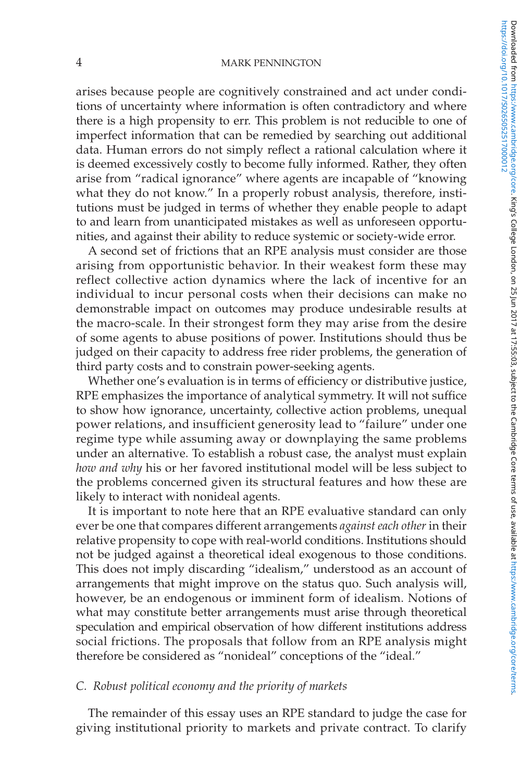arises because people are cognitively constrained and act under conditions of uncertainty where information is often contradictory and where there is a high propensity to err. This problem is not reducible to one of imperfect information that can be remedied by searching out additional data. Human errors do not simply reflect a rational calculation where it is deemed excessively costly to become fully informed. Rather, they often arise from "radical ignorance" where agents are incapable of "knowing what they do not know." In a properly robust analysis, therefore, institutions must be judged in terms of whether they enable people to adapt to and learn from unanticipated mistakes as well as unforeseen opportunities, and against their ability to reduce systemic or society-wide error.

 A second set of frictions that an RPE analysis must consider are those arising from opportunistic behavior. In their weakest form these may reflect collective action dynamics where the lack of incentive for an individual to incur personal costs when their decisions can make no demonstrable impact on outcomes may produce undesirable results at the macro-scale. In their strongest form they may arise from the desire of some agents to abuse positions of power. Institutions should thus be judged on their capacity to address free rider problems, the generation of third party costs and to constrain power-seeking agents.

 Whether one's evaluation is in terms of efficiency or distributive justice, RPE emphasizes the importance of analytical symmetry. It will not suffice to show how ignorance, uncertainty, collective action problems, unequal power relations, and insufficient generosity lead to "failure" under one regime type while assuming away or downplaying the same problems under an alternative. To establish a robust case, the analyst must explain *how and why* his or her favored institutional model will be less subject to the problems concerned given its structural features and how these are likely to interact with nonideal agents.

 It is important to note here that an RPE evaluative standard can only ever be one that compares different arrangements *against each other* in their relative propensity to cope with real-world conditions. Institutions should not be judged against a theoretical ideal exogenous to those conditions. This does not imply discarding "idealism," understood as an account of arrangements that might improve on the status quo. Such analysis will, however, be an endogenous or imminent form of idealism. Notions of what may constitute better arrangements must arise through theoretical speculation and empirical observation of how different institutions address social frictions. The proposals that follow from an RPE analysis might therefore be considered as "nonideal" conceptions of the "ideal."

## *C. Robust political economy and the priority of markets*

 The remainder of this essay uses an RPE standard to judge the case for giving institutional priority to markets and private contract. To clarify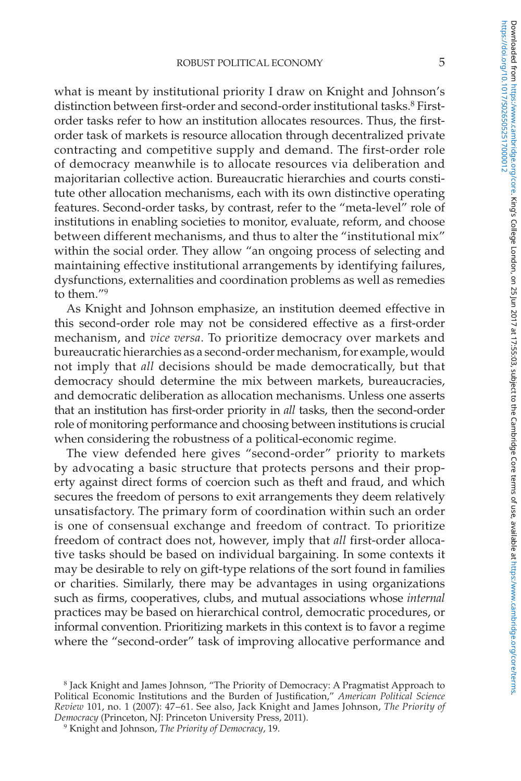what is meant by institutional priority I draw on Knight and Johnson's distinction between first-order and second-order institutional tasks. 8 Firstorder tasks refer to how an institution allocates resources. Thus, the firstorder task of markets is resource allocation through decentralized private contracting and competitive supply and demand. The first-order role of democracy meanwhile is to allocate resources via deliberation and majoritarian collective action. Bureaucratic hierarchies and courts constitute other allocation mechanisms, each with its own distinctive operating features. Second-order tasks, by contrast, refer to the "meta-level" role of institutions in enabling societies to monitor, evaluate, reform, and choose between different mechanisms, and thus to alter the "institutional mix" within the social order. They allow "an ongoing process of selecting and maintaining effective institutional arrangements by identifying failures, dysfunctions, externalities and coordination problems as well as remedies to them."<sup>9</sup>

 As Knight and Johnson emphasize, an institution deemed effective in this second-order role may not be considered effective as a first-order mechanism, and *vice versa* . To prioritize democracy over markets and bureaucratic hierarchies as a second-order mechanism, for example, would not imply that *all* decisions should be made democratically, but that democracy should determine the mix between markets, bureaucracies, and democratic deliberation as allocation mechanisms. Unless one asserts that an institution has first-order priority in *all* tasks, then the second-order role of monitoring performance and choosing between institutions is crucial when considering the robustness of a political-economic regime.

 The view defended here gives "second-order" priority to markets by advocating a basic structure that protects persons and their property against direct forms of coercion such as theft and fraud, and which secures the freedom of persons to exit arrangements they deem relatively unsatisfactory. The primary form of coordination within such an order is one of consensual exchange and freedom of contract. To prioritize freedom of contract does not, however, imply that *all* first-order allocative tasks should be based on individual bargaining. In some contexts it may be desirable to rely on gift-type relations of the sort found in families or charities. Similarly, there may be advantages in using organizations such as firms, cooperatives, clubs, and mutual associations whose *internal* practices may be based on hierarchical control, democratic procedures, or informal convention. Prioritizing markets in this context is to favor a regime where the "second-order" task of improving allocative performance and

 <sup>8</sup> Jack Knight and James Johnson, "The Priority of Democracy: A Pragmatist Approach to Political Economic Institutions and the Burden of Justification," American Political Science *Review* 101, no. 1 (2007): 47–61. See also, Jack Knight and James Johnson, *The Priority of Democracy* (Princeton, NJ: Princeton University Press, 2011).

<sup>&</sup>lt;sup>9</sup> Knight and Johnson, The Priority of Democracy, 19.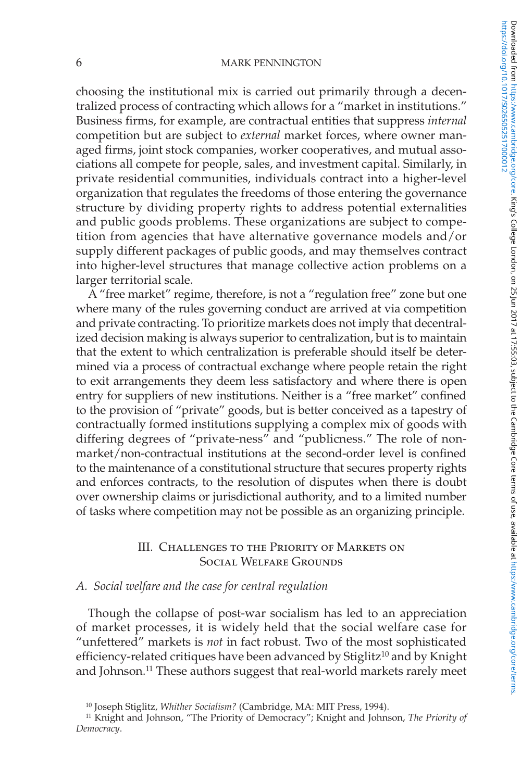choosing the institutional mix is carried out primarily through a decentralized process of contracting which allows for a "market in institutions." Business firms, for example, are contractual entities that suppress *internal* competition but are subject to *external* market forces, where owner managed firms, joint stock companies, worker cooperatives, and mutual associations all compete for people, sales, and investment capital. Similarly, in private residential communities, individuals contract into a higher-level organization that regulates the freedoms of those entering the governance structure by dividing property rights to address potential externalities and public goods problems. These organizations are subject to competition from agencies that have alternative governance models and/or supply different packages of public goods, and may themselves contract into higher-level structures that manage collective action problems on a larger territorial scale.

 A "free market" regime, therefore, is not a "regulation free" zone but one where many of the rules governing conduct are arrived at via competition and private contracting. To prioritize markets does not imply that decentralized decision making is always superior to centralization, but is to maintain that the extent to which centralization is preferable should itself be determined via a process of contractual exchange where people retain the right to exit arrangements they deem less satisfactory and where there is open entry for suppliers of new institutions. Neither is a "free market" confined to the provision of "private" goods, but is better conceived as a tapestry of contractually formed institutions supplying a complex mix of goods with differing degrees of "private-ness" and "publicness." The role of nonmarket/non-contractual institutions at the second-order level is confined to the maintenance of a constitutional structure that secures property rights and enforces contracts, to the resolution of disputes when there is doubt over ownership claims or jurisdictional authority, and to a limited number of tasks where competition may not be possible as an organizing principle.

## III. CHALLENGES TO THE PRIORITY OF MARKETS ON Social Welfare Grounds

#### *A. Social welfare and the case for central regulation*

 Though the collapse of post-war socialism has led to an appreciation of market processes, it is widely held that the social welfare case for "unfettered" markets is *not* in fact robust. Two of the most sophisticated efficiency-related critiques have been advanced by Stiglitz<sup>10</sup> and by Knight and Johnson.<sup>11</sup> These authors suggest that real-world markets rarely meet

<sup>&</sup>lt;sup>10</sup> Joseph Stiglitz, *Whither Socialism?* (Cambridge, MA: MIT Press, 1994).<br><sup>11</sup> Knight and Johnson, "The Priority of Democracy"; Knight and Johnson, *The Priority of Democracy* .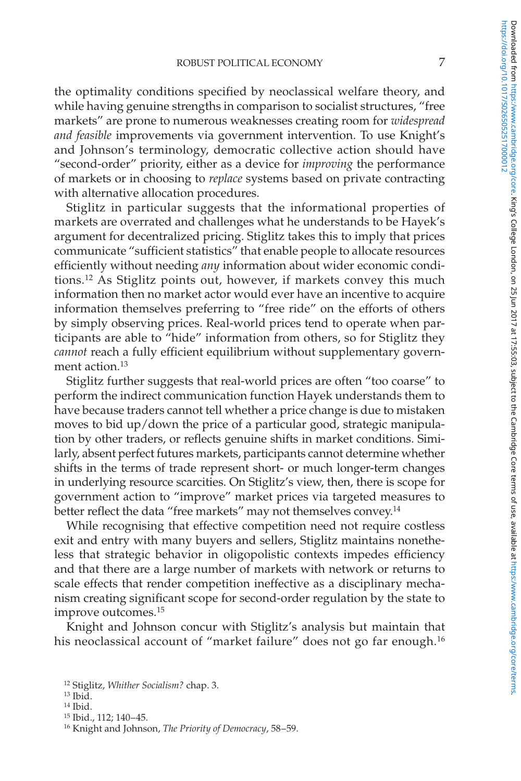the optimality conditions specified by neoclassical welfare theory, and while having genuine strengths in comparison to socialist structures, "free markets" are prone to numerous weaknesses creating room for *widespread and feasible* improvements via government intervention. To use Knight's and Johnson's terminology, democratic collective action should have "second-order" priority, either as a device for *improving* the performance of markets or in choosing to *replace* systems based on private contracting with alternative allocation procedures.

 Stiglitz in particular suggests that the informational properties of markets are overrated and challenges what he understands to be Hayek's argument for decentralized pricing. Stiglitz takes this to imply that prices communicate "sufficient statistics" that enable people to allocate resources efficiently without needing *any* information about wider economic conditions. 12 As Stiglitz points out, however, if markets convey this much information then no market actor would ever have an incentive to acquire information themselves preferring to "free ride" on the efforts of others by simply observing prices. Real-world prices tend to operate when participants are able to "hide" information from others, so for Stiglitz they *cannot* reach a fully efficient equilibrium without supplementary government action.<sup>13</sup>

 Stiglitz further suggests that real-world prices are often "too coarse" to perform the indirect communication function Hayek understands them to have because traders cannot tell whether a price change is due to mistaken moves to bid up/down the price of a particular good, strategic manipulation by other traders, or reflects genuine shifts in market conditions. Similarly, absent perfect futures markets, participants cannot determine whether shifts in the terms of trade represent short- or much longer-term changes in underlying resource scarcities. On Stiglitz's view, then, there is scope for government action to "improve" market prices via targeted measures to better reflect the data "free markets" may not themselves convey.<sup>14</sup>

 While recognising that effective competition need not require costless exit and entry with many buyers and sellers, Stiglitz maintains nonetheless that strategic behavior in oligopolistic contexts impedes efficiency and that there are a large number of markets with network or returns to scale effects that render competition ineffective as a disciplinary mechanism creating significant scope for second-order regulation by the state to improve outcomes. 15

 Knight and Johnson concur with Stiglitz's analysis but maintain that his neoclassical account of "market failure" does not go far enough.<sup>16</sup>

 $^{14}$  Ibid.

 <sup>12</sup> Stiglitz, *Whither Socialism?* chap. 3. 13 Ibid.

<sup>15</sup> Ibid., 112; 140-45.

<sup>&</sup>lt;sup>16</sup> Knight and Johnson, *The Priority of Democracy*, 58-59.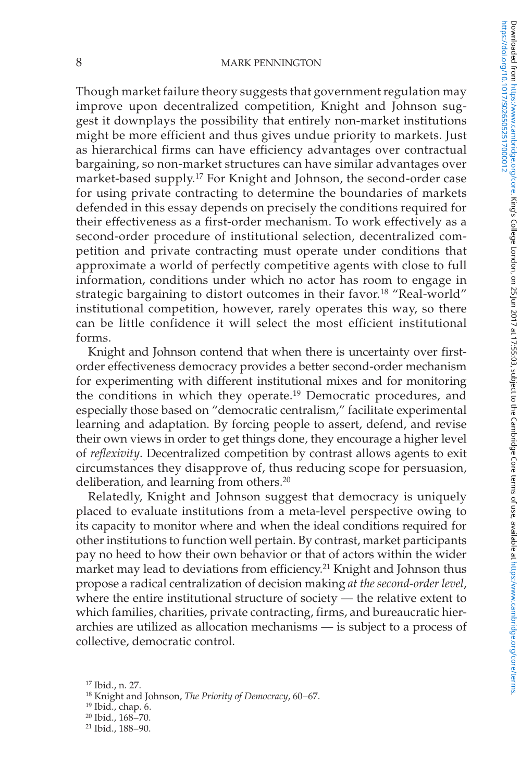Though market failure theory suggests that government regulation may improve upon decentralized competition, Knight and Johnson suggest it downplays the possibility that entirely non-market institutions might be more efficient and thus gives undue priority to markets. Just as hierarchical firms can have efficiency advantages over contractual bargaining, so non-market structures can have similar advantages over market-based supply.<sup>17</sup> For Knight and Johnson, the second-order case for using private contracting to determine the boundaries of markets defended in this essay depends on precisely the conditions required for their effectiveness as a first-order mechanism. To work effectively as a second-order procedure of institutional selection, decentralized competition and private contracting must operate under conditions that approximate a world of perfectly competitive agents with close to full information, conditions under which no actor has room to engage in strategic bargaining to distort outcomes in their favor.<sup>18</sup> "Real-world" institutional competition, however, rarely operates this way, so there can be little confidence it will select the most efficient institutional forms.

 Knight and Johnson contend that when there is uncertainty over firstorder effectiveness democracy provides a better second-order mechanism for experimenting with different institutional mixes and for monitoring the conditions in which they operate.<sup>19</sup> Democratic procedures, and especially those based on "democratic centralism," facilitate experimental learning and adaptation. By forcing people to assert, defend, and revise their own views in order to get things done, they encourage a higher level of *reflexivity* . Decentralized competition by contrast allows agents to exit circumstances they disapprove of, thus reducing scope for persuasion, deliberation, and learning from others.<sup>20</sup>

 Relatedly, Knight and Johnson suggest that democracy is uniquely placed to evaluate institutions from a meta-level perspective owing to its capacity to monitor where and when the ideal conditions required for other institutions to function well pertain. By contrast, market participants pay no heed to how their own behavior or that of actors within the wider market may lead to deviations from efficiency.<sup>21</sup> Knight and Johnson thus propose a radical centralization of decision making *at the second-order level* , where the entire institutional structure of society — the relative extent to which families, charities, private contracting, firms, and bureaucratic hierarchies are utilized as allocation mechanisms — is subject to a process of collective, democratic control.

 <sup>17</sup> Ibid., n. 27.

<sup>&</sup>lt;sup>18</sup> Knight and Johnson, *The Priority of Democracy*, 60–67.<br><sup>19</sup> Ibid., chap. 6.

<sup>&</sup>lt;sup>20</sup> Ibid., 168-70.

<sup>&</sup>lt;sup>21</sup> Ibid., 188-90.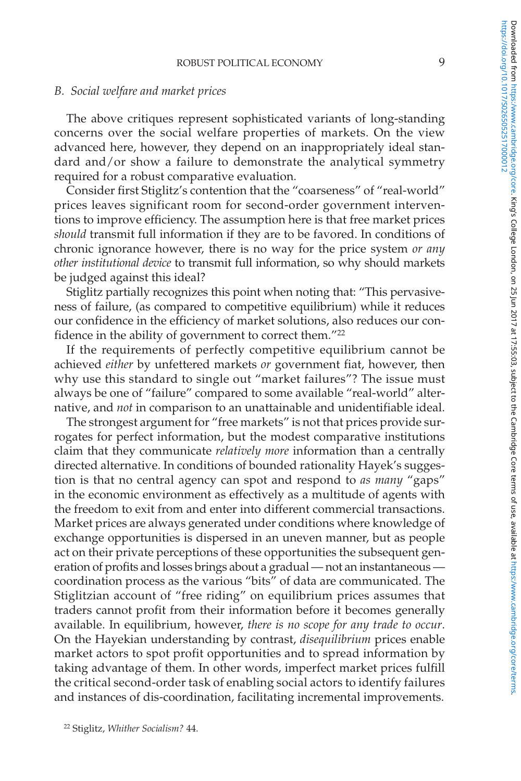## *B. Social welfare and market prices*

 The above critiques represent sophisticated variants of long-standing concerns over the social welfare properties of markets. On the view advanced here, however, they depend on an inappropriately ideal standard and/or show a failure to demonstrate the analytical symmetry required for a robust comparative evaluation.

 Consider first Stiglitz's contention that the "coarseness" of "real-world" prices leaves significant room for second-order government interventions to improve efficiency. The assumption here is that free market prices *should* transmit full information if they are to be favored. In conditions of chronic ignorance however, there is no way for the price system *or any other institutional device* to transmit full information, so why should markets be judged against this ideal?

 Stiglitz partially recognizes this point when noting that: "This pervasiveness of failure, (as compared to competitive equilibrium) while it reduces our confidence in the efficiency of market solutions, also reduces our confidence in the ability of government to correct them."<sup>22</sup>

 If the requirements of perfectly competitive equilibrium cannot be achieved *either* by unfettered markets *or* government fiat, however, then why use this standard to single out "market failures"? The issue must always be one of "failure" compared to some available "real-world" alternative, and *not* in comparison to an unattainable and unidentifiable ideal.

 The strongest argument for "free markets" is not that prices provide surrogates for perfect information, but the modest comparative institutions claim that they communicate *relatively more* information than a centrally directed alternative. In conditions of bounded rationality Hayek's suggestion is that no central agency can spot and respond to *as many* "gaps" in the economic environment as effectively as a multitude of agents with the freedom to exit from and enter into different commercial transactions. Market prices are always generated under conditions where knowledge of exchange opportunities is dispersed in an uneven manner, but as people act on their private perceptions of these opportunities the subsequent generation of profits and losses brings about a gradual — not an instantaneous coordination process as the various "bits" of data are communicated. The Stiglitzian account of "free riding" on equilibrium prices assumes that traders cannot profit from their information before it becomes generally available. In equilibrium, however, *there is no scope for any trade to occur* . On the Hayekian understanding by contrast, *disequilibrium* prices enable market actors to spot profit opportunities and to spread information by taking advantage of them. In other words, imperfect market prices fulfill the critical second-order task of enabling social actors to identify failures and instances of dis-coordination, facilitating incremental improvements.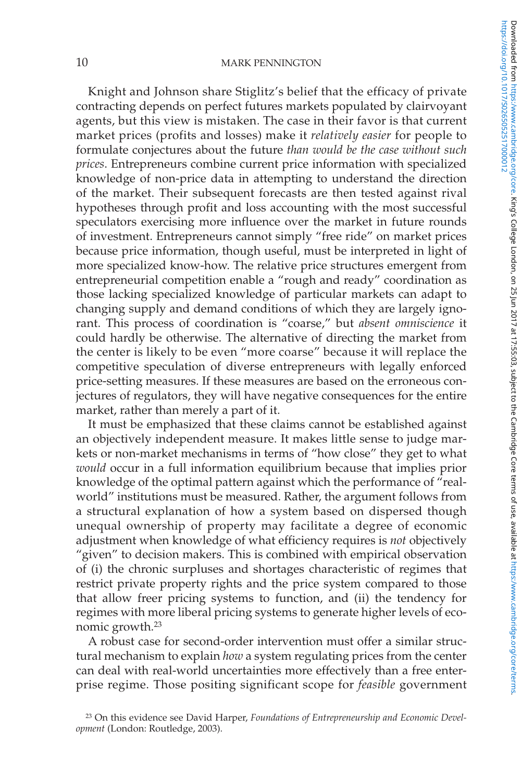Knight and Johnson share Stiglitz's belief that the efficacy of private contracting depends on perfect futures markets populated by clairvoyant agents, but this view is mistaken. The case in their favor is that current market prices (profits and losses) make it *relatively easier* for people to formulate conjectures about the future *than would be the case without such prices* . Entrepreneurs combine current price information with specialized knowledge of non-price data in attempting to understand the direction of the market. Their subsequent forecasts are then tested against rival hypotheses through profit and loss accounting with the most successful speculators exercising more influence over the market in future rounds of investment. Entrepreneurs cannot simply "free ride" on market prices because price information, though useful, must be interpreted in light of more specialized know-how. The relative price structures emergent from entrepreneurial competition enable a "rough and ready" coordination as those lacking specialized knowledge of particular markets can adapt to changing supply and demand conditions of which they are largely ignorant. This process of coordination is "coarse," but *absent omniscience* it could hardly be otherwise. The alternative of directing the market from the center is likely to be even "more coarse" because it will replace the competitive speculation of diverse entrepreneurs with legally enforced price-setting measures. If these measures are based on the erroneous conjectures of regulators, they will have negative consequences for the entire market, rather than merely a part of it.

 It must be emphasized that these claims cannot be established against an objectively independent measure. It makes little sense to judge markets or non-market mechanisms in terms of "how close" they get to what *would* occur in a full information equilibrium because that implies prior knowledge of the optimal pattern against which the performance of "realworld" institutions must be measured. Rather, the argument follows from a structural explanation of how a system based on dispersed though unequal ownership of property may facilitate a degree of economic adjustment when knowledge of what efficiency requires is *not* objectively "given" to decision makers. This is combined with empirical observation of (i) the chronic surpluses and shortages characteristic of regimes that restrict private property rights and the price system compared to those that allow freer pricing systems to function, and (ii) the tendency for regimes with more liberal pricing systems to generate higher levels of economic growth. 23

 A robust case for second-order intervention must offer a similar structural mechanism to explain *how* a system regulating prices from the center can deal with real-world uncertainties more effectively than a free enterprise regime. Those positing significant scope for *feasible* government

 <sup>23</sup> On this evidence see David Harper, *Foundations of Entrepreneurship and Economic Development* (London: Routledge, 2003).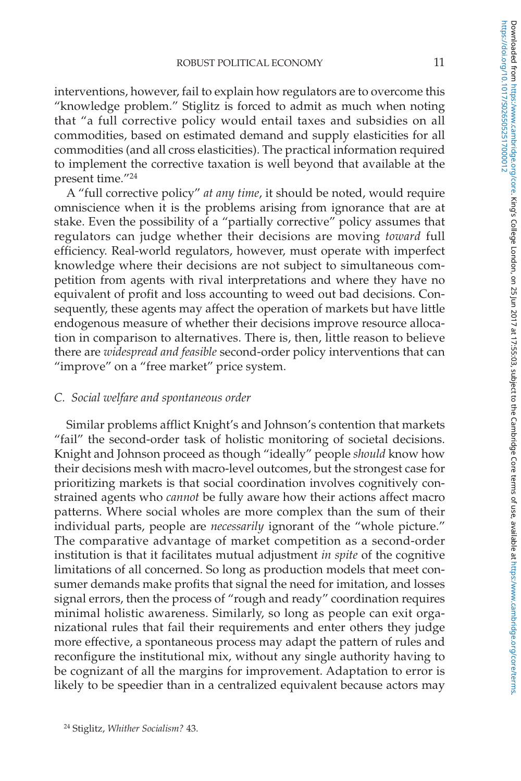interventions, however, fail to explain how regulators are to overcome this "knowledge problem." Stiglitz is forced to admit as much when noting that "a full corrective policy would entail taxes and subsidies on all commodities, based on estimated demand and supply elasticities for all commodities (and all cross elasticities). The practical information required to implement the corrective taxation is well beyond that available at the present time."<sup>24</sup>

 A "full corrective policy" *at any time* , it should be noted, would require omniscience when it is the problems arising from ignorance that are at stake. Even the possibility of a "partially corrective" policy assumes that regulators can judge whether their decisions are moving *toward* full efficiency. Real-world regulators, however, must operate with imperfect knowledge where their decisions are not subject to simultaneous competition from agents with rival interpretations and where they have no equivalent of profit and loss accounting to weed out bad decisions. Consequently, these agents may affect the operation of markets but have little endogenous measure of whether their decisions improve resource allocation in comparison to alternatives. There is, then, little reason to believe there are *widespread and feasible* second-order policy interventions that can "improve" on a "free market" price system.

#### *C. Social welfare and spontaneous order*

 Similar problems afflict Knight's and Johnson's contention that markets "fail" the second-order task of holistic monitoring of societal decisions. Knight and Johnson proceed as though "ideally" people *should* know how their decisions mesh with macro-level outcomes, but the strongest case for prioritizing markets is that social coordination involves cognitively constrained agents who *cannot* be fully aware how their actions affect macro patterns. Where social wholes are more complex than the sum of their individual parts, people are *necessarily* ignorant of the "whole picture." The comparative advantage of market competition as a second-order institution is that it facilitates mutual adjustment *in spite* of the cognitive limitations of all concerned. So long as production models that meet consumer demands make profits that signal the need for imitation, and losses signal errors, then the process of "rough and ready" coordination requires minimal holistic awareness. Similarly, so long as people can exit organizational rules that fail their requirements and enter others they judge more effective, a spontaneous process may adapt the pattern of rules and reconfigure the institutional mix, without any single authority having to be cognizant of all the margins for improvement. Adaptation to error is likely to be speedier than in a centralized equivalent because actors may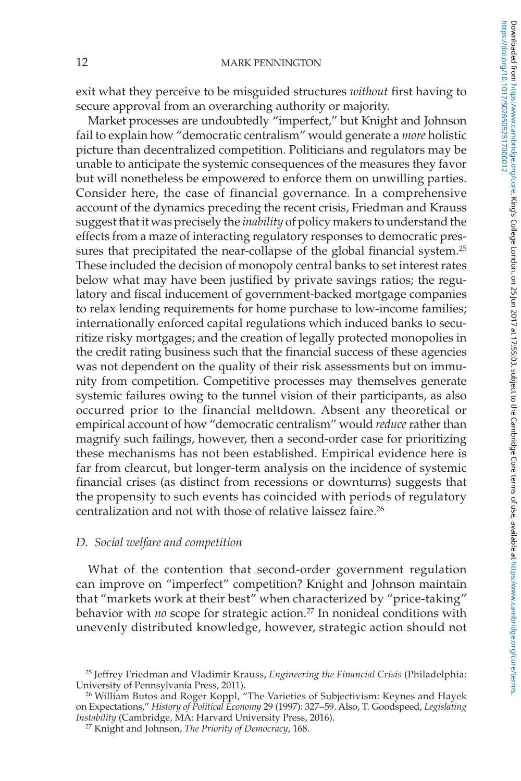exit what they perceive to be misguided structures *without* first having to secure approval from an overarching authority or majority.

 Market processes are undoubtedly "imperfect," but Knight and Johnson fail to explain how "democratic centralism" would generate a *more* holistic picture than decentralized competition. Politicians and regulators may be unable to anticipate the systemic consequences of the measures they favor but will nonetheless be empowered to enforce them on unwilling parties. Consider here, the case of financial governance. In a comprehensive account of the dynamics preceding the recent crisis, Friedman and Krauss suggest that it was precisely the *inability* of policy makers to understand the effects from a maze of interacting regulatory responses to democratic pressures that precipitated the near-collapse of the global financial system.<sup>25</sup> These included the decision of monopoly central banks to set interest rates below what may have been justified by private savings ratios; the regulatory and fiscal inducement of government-backed mortgage companies to relax lending requirements for home purchase to low-income families; internationally enforced capital regulations which induced banks to securitize risky mortgages; and the creation of legally protected monopolies in the credit rating business such that the financial success of these agencies was not dependent on the quality of their risk assessments but on immunity from competition. Competitive processes may themselves generate systemic failures owing to the tunnel vision of their participants, as also occurred prior to the financial meltdown. Absent any theoretical or empirical account of how "democratic centralism" would *reduce* rather than magnify such failings, however, then a second-order case for prioritizing these mechanisms has not been established. Empirical evidence here is far from clearcut, but longer-term analysis on the incidence of systemic financial crises (as distinct from recessions or downturns) suggests that the propensity to such events has coincided with periods of regulatory centralization and not with those of relative laissez faire. 26

#### *D. Social welfare and competition*

 What of the contention that second-order government regulation can improve on "imperfect" competition? Knight and Johnson maintain that "markets work at their best" when characterized by "price-taking" behavior with *no* scope for strategic action.<sup>27</sup> In nonideal conditions with unevenly distributed knowledge, however, strategic action should not

 <sup>25</sup> Jeffrey Friedman and Vladimir Krauss, *Engineering the Financial Crisis* (Philadelphia:

<sup>&</sup>lt;sup>26</sup> William Butos and Roger Koppl, "The Varieties of Subjectivism: Keynes and Hayek on Expectations," *History of Political Economy* 29 (1997): 327 – 59. Also, T. Goodspeed, *Legislating* 

<sup>&</sup>lt;sup>27</sup> Knight and Johnson, *The Priority of Democracy*, 168.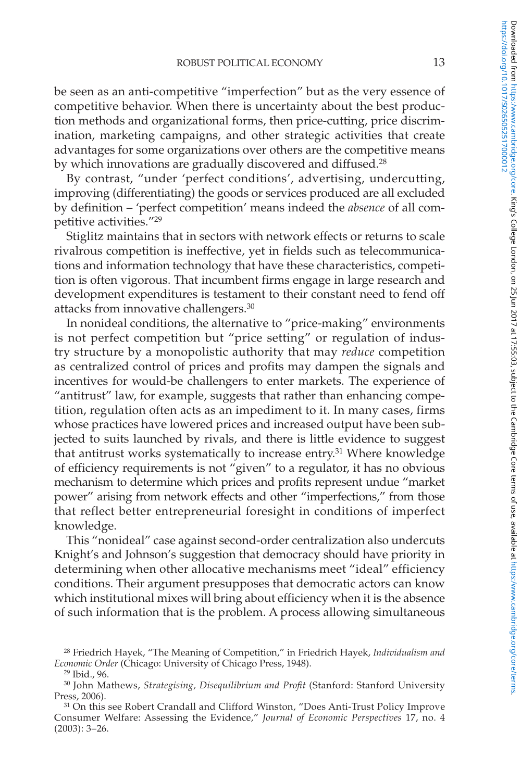be seen as an anti-competitive "imperfection" but as the very essence of competitive behavior. When there is uncertainty about the best production methods and organizational forms, then price-cutting, price discrimination, marketing campaigns, and other strategic activities that create advantages for some organizations over others are the competitive means by which innovations are gradually discovered and diffused.<sup>28</sup>

 By contrast, "under 'perfect conditions', advertising, undercutting, improving (differentiating) the goods or services produced are all excluded by definition – 'perfect competition' means indeed the *absence* of all competitive activities."<sup>29</sup>

 Stiglitz maintains that in sectors with network effects or returns to scale rivalrous competition is ineffective, yet in fields such as telecommunications and information technology that have these characteristics, competition is often vigorous. That incumbent firms engage in large research and development expenditures is testament to their constant need to fend off attacks from innovative challengers. 30

 In nonideal conditions, the alternative to "price-making" environments is not perfect competition but "price setting" or regulation of industry structure by a monopolistic authority that may *reduce* competition as centralized control of prices and profits may dampen the signals and incentives for would-be challengers to enter markets. The experience of "antitrust" law, for example, suggests that rather than enhancing competition, regulation often acts as an impediment to it. In many cases, firms whose practices have lowered prices and increased output have been subjected to suits launched by rivals, and there is little evidence to suggest that antitrust works systematically to increase entry.<sup>31</sup> Where knowledge of efficiency requirements is not "given" to a regulator, it has no obvious mechanism to determine which prices and profits represent undue "market power" arising from network effects and other "imperfections," from those that reflect better entrepreneurial foresight in conditions of imperfect knowledge.

 This "nonideal" case against second-order centralization also undercuts Knight's and Johnson's suggestion that democracy should have priority in determining when other allocative mechanisms meet "ideal" efficiency conditions. Their argument presupposes that democratic actors can know which institutional mixes will bring about efficiency when it is the absence of such information that is the problem. A process allowing simultaneous

 <sup>28</sup> Friedrich Hayek, "The Meaning of Competition," in Friedrich Hayek, *Individualism and Economic Order* (Chicago: University of Chicago Press, 1948). 29 Ibid., 96.

<sup>&</sup>lt;sup>30</sup> John Mathews, *Strategising, Disequilibrium and Profit* (Stanford: Stanford University Press, 2006).<br><sup>31</sup> On this see Robert Crandall and Clifford Winston, "Does Anti-Trust Policy Improve

Consumer Welfare: Assessing the Evidence," *Journal of Economic Perspectives* 17, no. 4  $(2003): 3 - 26.$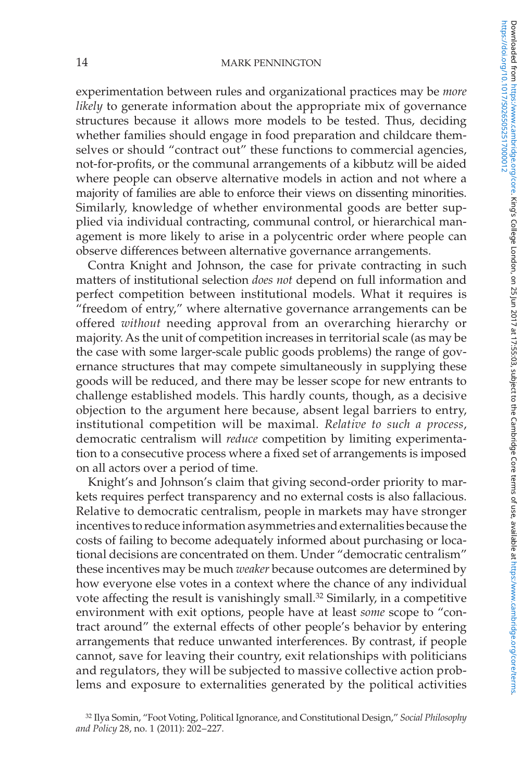experimentation between rules and organizational practices may be *more likely* to generate information about the appropriate mix of governance structures because it allows more models to be tested. Thus, deciding whether families should engage in food preparation and childcare themselves or should "contract out" these functions to commercial agencies, not-for-profits, or the communal arrangements of a kibbutz will be aided where people can observe alternative models in action and not where a majority of families are able to enforce their views on dissenting minorities. Similarly, knowledge of whether environmental goods are better supplied via individual contracting, communal control, or hierarchical management is more likely to arise in a polycentric order where people can observe differences between alternative governance arrangements.

 Contra Knight and Johnson, the case for private contracting in such matters of institutional selection *does not* depend on full information and perfect competition between institutional models. What it requires is "freedom of entry," where alternative governance arrangements can be offered *without* needing approval from an overarching hierarchy or majority. As the unit of competition increases in territorial scale (as may be the case with some larger-scale public goods problems) the range of governance structures that may compete simultaneously in supplying these goods will be reduced, and there may be lesser scope for new entrants to challenge established models. This hardly counts, though, as a decisive objection to the argument here because, absent legal barriers to entry, institutional competition will be maximal. *Relative to such a process* , democratic centralism will *reduce* competition by limiting experimentation to a consecutive process where a fixed set of arrangements is imposed on all actors over a period of time.

 Knight's and Johnson's claim that giving second-order priority to markets requires perfect transparency and no external costs is also fallacious. Relative to democratic centralism, people in markets may have stronger incentives to reduce information asymmetries and externalities because the costs of failing to become adequately informed about purchasing or locational decisions are concentrated on them. Under "democratic centralism" these incentives may be much *weaker* because outcomes are determined by how everyone else votes in a context where the chance of any individual vote affecting the result is vanishingly small.<sup>32</sup> Similarly, in a competitive environment with exit options, people have at least *some* scope to "contract around" the external effects of other people's behavior by entering arrangements that reduce unwanted interferences. By contrast, if people cannot, save for leaving their country, exit relationships with politicians and regulators, they will be subjected to massive collective action problems and exposure to externalities generated by the political activities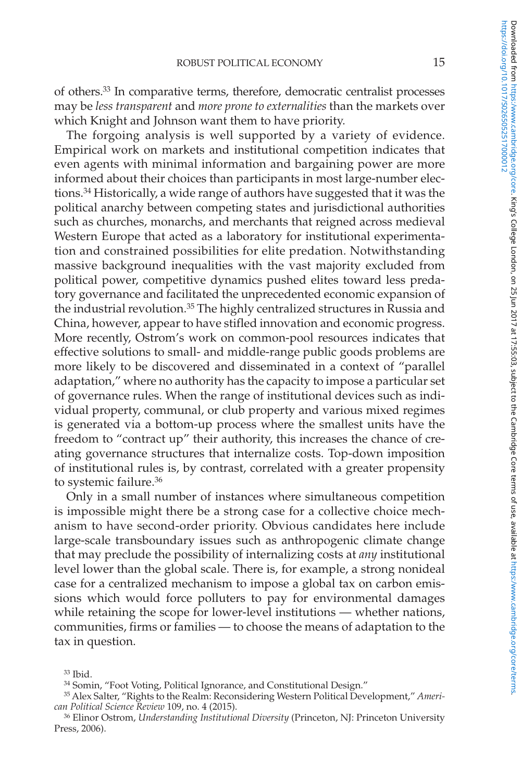of others. 33 In comparative terms, therefore, democratic centralist processes may be *less transparent* and *more prone to externalities* than the markets over which Knight and Johnson want them to have priority.

 The forgoing analysis is well supported by a variety of evidence. Empirical work on markets and institutional competition indicates that even agents with minimal information and bargaining power are more informed about their choices than participants in most large-number elections. 34 Historically, a wide range of authors have suggested that it was the political anarchy between competing states and jurisdictional authorities such as churches, monarchs, and merchants that reigned across medieval Western Europe that acted as a laboratory for institutional experimentation and constrained possibilities for elite predation. Notwithstanding massive background inequalities with the vast majority excluded from political power, competitive dynamics pushed elites toward less predatory governance and facilitated the unprecedented economic expansion of the industrial revolution.<sup>35</sup> The highly centralized structures in Russia and China, however, appear to have stifled innovation and economic progress. More recently, Ostrom's work on common-pool resources indicates that effective solutions to small- and middle-range public goods problems are more likely to be discovered and disseminated in a context of "parallel adaptation," where no authority has the capacity to impose a particular set of governance rules. When the range of institutional devices such as individual property, communal, or club property and various mixed regimes is generated via a bottom-up process where the smallest units have the freedom to "contract up" their authority, this increases the chance of creating governance structures that internalize costs. Top-down imposition of institutional rules is, by contrast, correlated with a greater propensity to systemic failure. 36

 Only in a small number of instances where simultaneous competition is impossible might there be a strong case for a collective choice mechanism to have second-order priority. Obvious candidates here include large-scale transboundary issues such as anthropogenic climate change that may preclude the possibility of internalizing costs at *any* institutional level lower than the global scale. There is, for example, a strong nonideal case for a centralized mechanism to impose a global tax on carbon emissions which would force polluters to pay for environmental damages while retaining the scope for lower-level institutions — whether nations, communities, firms or families — to choose the means of adaptation to the tax in question.

33 Ibid.

 <sup>34</sup> Somin, "Foot Voting, Political Ignorance, and Constitutional Design."

 <sup>35</sup> Alex Salter, "Rights to the Realm: Reconsidering Western Political Development," *Ameri-*

*can Political Science Review* 109, no. 4 (2015). 36 Elinor Ostrom, *Understanding Institutional Diversity* (Princeton, NJ: Princeton University Press, 2006).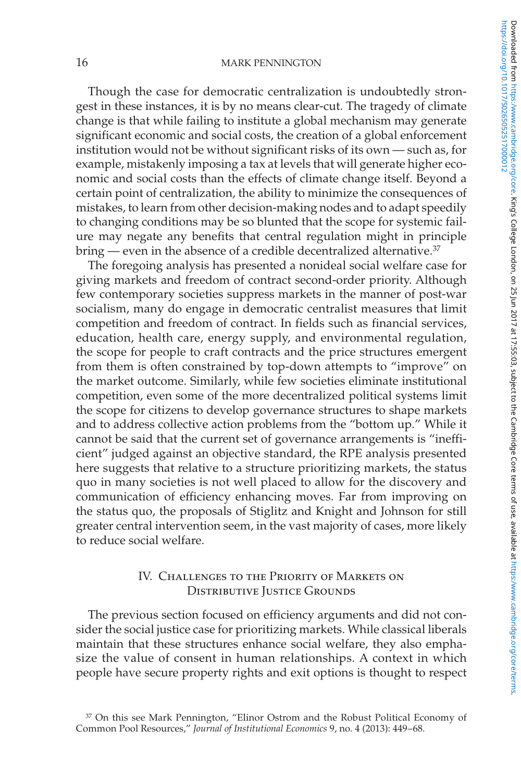Though the case for democratic centralization is undoubtedly strongest in these instances, it is by no means clear-cut. The tragedy of climate change is that while failing to institute a global mechanism may generate significant economic and social costs, the creation of a global enforcement institution would not be without significant risks of its own — such as, for example, mistakenly imposing a tax at levels that will generate higher economic and social costs than the effects of climate change itself. Beyond a certain point of centralization, the ability to minimize the consequences of mistakes, to learn from other decision-making nodes and to adapt speedily to changing conditions may be so blunted that the scope for systemic failure may negate any benefits that central regulation might in principle bring — even in the absence of a credible decentralized alternative.<sup>37</sup>

 The foregoing analysis has presented a nonideal social welfare case for giving markets and freedom of contract second-order priority. Although few contemporary societies suppress markets in the manner of post-war socialism, many do engage in democratic centralist measures that limit competition and freedom of contract. In fields such as financial services, education, health care, energy supply, and environmental regulation, the scope for people to craft contracts and the price structures emergent from them is often constrained by top-down attempts to "improve" on the market outcome. Similarly, while few societies eliminate institutional competition, even some of the more decentralized political systems limit the scope for citizens to develop governance structures to shape markets and to address collective action problems from the "bottom up." While it cannot be said that the current set of governance arrangements is "inefficient" judged against an objective standard, the RPE analysis presented here suggests that relative to a structure prioritizing markets, the status quo in many societies is not well placed to allow for the discovery and communication of efficiency enhancing moves. Far from improving on the status quo, the proposals of Stiglitz and Knight and Johnson for still greater central intervention seem, in the vast majority of cases, more likely to reduce social welfare.

## IV. CHALLENGES TO THE PRIORITY OF MARKETS ON DISTRIBUTIVE JUSTICE GROUNDS

 The previous section focused on efficiency arguments and did not consider the social justice case for prioritizing markets. While classical liberals maintain that these structures enhance social welfare, they also emphasize the value of consent in human relationships. A context in which people have secure property rights and exit options is thought to respect

 <sup>37</sup> On this see Mark Pennington, "Elinor Ostrom and the Robust Political Economy of Common Pool Resources," Journal of Institutional Economics 9, no. 4 (2013): 449-68.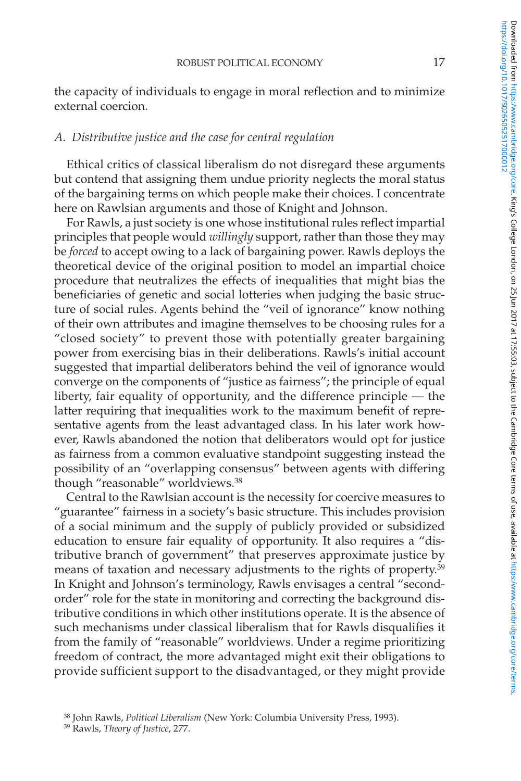the capacity of individuals to engage in moral reflection and to minimize external coercion.

#### *A. Distributive justice and the case for central regulation*

 Ethical critics of classical liberalism do not disregard these arguments but contend that assigning them undue priority neglects the moral status of the bargaining terms on which people make their choices. I concentrate here on Rawlsian arguments and those of Knight and Johnson.

 For Rawls, a just society is one whose institutional rules reflect impartial principles that people would *willingly* support, rather than those they may be *forced* to accept owing to a lack of bargaining power. Rawls deploys the theoretical device of the original position to model an impartial choice procedure that neutralizes the effects of inequalities that might bias the beneficiaries of genetic and social lotteries when judging the basic structure of social rules. Agents behind the "veil of ignorance" know nothing of their own attributes and imagine themselves to be choosing rules for a "closed society" to prevent those with potentially greater bargaining power from exercising bias in their deliberations. Rawls's initial account suggested that impartial deliberators behind the veil of ignorance would converge on the components of "justice as fairness"; the principle of equal liberty, fair equality of opportunity, and the difference principle — the latter requiring that inequalities work to the maximum benefit of representative agents from the least advantaged class. In his later work however, Rawls abandoned the notion that deliberators would opt for justice as fairness from a common evaluative standpoint suggesting instead the possibility of an "overlapping consensus" between agents with differing though "reasonable" worldviews. 38

 Central to the Rawlsian account is the necessity for coercive measures to "guarantee" fairness in a society's basic structure. This includes provision of a social minimum and the supply of publicly provided or subsidized education to ensure fair equality of opportunity. It also requires a "distributive branch of government" that preserves approximate justice by means of taxation and necessary adjustments to the rights of property.<sup>39</sup> In Knight and Johnson's terminology, Rawls envisages a central "secondorder" role for the state in monitoring and correcting the background distributive conditions in which other institutions operate. It is the absence of such mechanisms under classical liberalism that for Rawls disqualifies it from the family of "reasonable" worldviews. Under a regime prioritizing freedom of contract, the more advantaged might exit their obligations to provide sufficient support to the disadvantaged, or they might provide

<sup>&</sup>lt;sup>38</sup> John Rawls, *Political Liberalism* (New York: Columbia University Press, 1993).<br><sup>39</sup> Rawls, *Theory of Justice*, 277.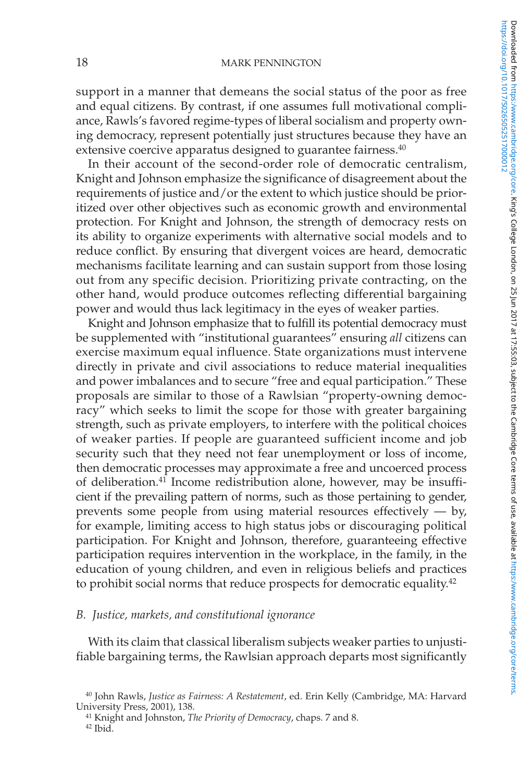support in a manner that demeans the social status of the poor as free and equal citizens. By contrast, if one assumes full motivational compliance, Rawls's favored regime-types of liberal socialism and property owning democracy, represent potentially just structures because they have an extensive coercive apparatus designed to guarantee fairness.<sup>40</sup>

 In their account of the second-order role of democratic centralism, Knight and Johnson emphasize the significance of disagreement about the requirements of justice and/or the extent to which justice should be prioritized over other objectives such as economic growth and environmental protection. For Knight and Johnson, the strength of democracy rests on its ability to organize experiments with alternative social models and to reduce conflict. By ensuring that divergent voices are heard, democratic mechanisms facilitate learning and can sustain support from those losing out from any specific decision. Prioritizing private contracting, on the other hand, would produce outcomes reflecting differential bargaining power and would thus lack legitimacy in the eyes of weaker parties.

 Knight and Johnson emphasize that to fulfill its potential democracy must be supplemented with "institutional guarantees" ensuring *all* citizens can exercise maximum equal influence. State organizations must intervene directly in private and civil associations to reduce material inequalities and power imbalances and to secure "free and equal participation." These proposals are similar to those of a Rawlsian "property-owning democracy" which seeks to limit the scope for those with greater bargaining strength, such as private employers, to interfere with the political choices of weaker parties. If people are guaranteed sufficient income and job security such that they need not fear unemployment or loss of income, then democratic processes may approximate a free and uncoerced process of deliberation. 41 Income redistribution alone, however, may be insufficient if the prevailing pattern of norms, such as those pertaining to gender, prevents some people from using material resources effectively — by, for example, limiting access to high status jobs or discouraging political participation. For Knight and Johnson, therefore, guaranteeing effective participation requires intervention in the workplace, in the family, in the education of young children, and even in religious beliefs and practices to prohibit social norms that reduce prospects for democratic equality.<sup>42</sup>

#### *B. Justice, markets, and constitutional ignorance*

 With its claim that classical liberalism subjects weaker parties to unjustifiable bargaining terms, the Rawlsian approach departs most significantly

 <sup>40</sup> John Rawls, *Justice as Fairness: A Restatement* , ed. Erin Kelly (Cambridge, MA: Harvard

University Press, 2001), 138.<br><sup>41</sup> Knight and Johnston, *The Priority of Democracy*, chaps. 7 and 8.<br><sup>42</sup> Ibid.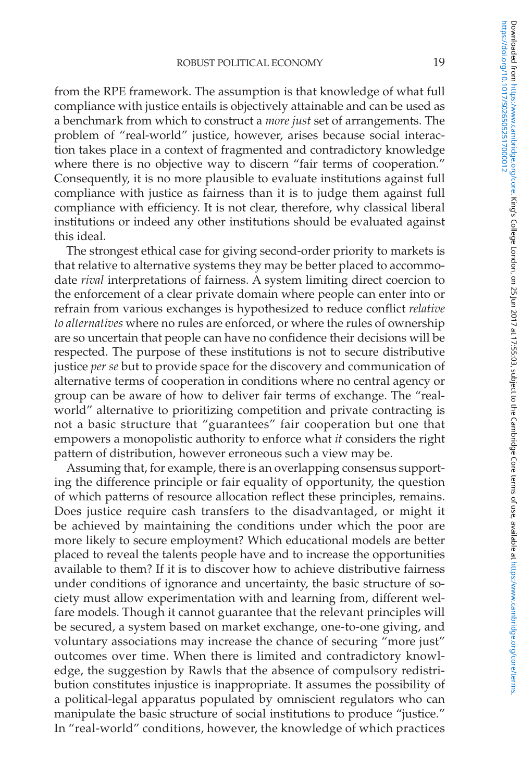from the RPE framework. The assumption is that knowledge of what full compliance with justice entails is objectively attainable and can be used as a benchmark from which to construct a *more just* set of arrangements. The problem of "real-world" justice, however, arises because social interaction takes place in a context of fragmented and contradictory knowledge where there is no objective way to discern "fair terms of cooperation." Consequently, it is no more plausible to evaluate institutions against full compliance with justice as fairness than it is to judge them against full compliance with efficiency. It is not clear, therefore, why classical liberal institutions or indeed any other institutions should be evaluated against this ideal.

 The strongest ethical case for giving second-order priority to markets is that relative to alternative systems they may be better placed to accommodate *rival* interpretations of fairness. A system limiting direct coercion to the enforcement of a clear private domain where people can enter into or refrain from various exchanges is hypothesized to reduce conflict *relative to alternatives* where no rules are enforced, or where the rules of ownership are so uncertain that people can have no confidence their decisions will be respected. The purpose of these institutions is not to secure distributive justice *per se* but to provide space for the discovery and communication of alternative terms of cooperation in conditions where no central agency or group can be aware of how to deliver fair terms of exchange. The "realworld" alternative to prioritizing competition and private contracting is not a basic structure that "guarantees" fair cooperation but one that empowers a monopolistic authority to enforce what *it* considers the right pattern of distribution, however erroneous such a view may be.

 Assuming that, for example, there is an overlapping consensus supporting the difference principle or fair equality of opportunity, the question of which patterns of resource allocation reflect these principles, remains. Does justice require cash transfers to the disadvantaged, or might it be achieved by maintaining the conditions under which the poor are more likely to secure employment? Which educational models are better placed to reveal the talents people have and to increase the opportunities available to them? If it is to discover how to achieve distributive fairness under conditions of ignorance and uncertainty, the basic structure of society must allow experimentation with and learning from, different welfare models. Though it cannot guarantee that the relevant principles will be secured, a system based on market exchange, one-to-one giving, and voluntary associations may increase the chance of securing "more just" outcomes over time. When there is limited and contradictory knowledge, the suggestion by Rawls that the absence of compulsory redistribution constitutes injustice is inappropriate. It assumes the possibility of a political-legal apparatus populated by omniscient regulators who can manipulate the basic structure of social institutions to produce "justice." In "real-world" conditions, however, the knowledge of which practices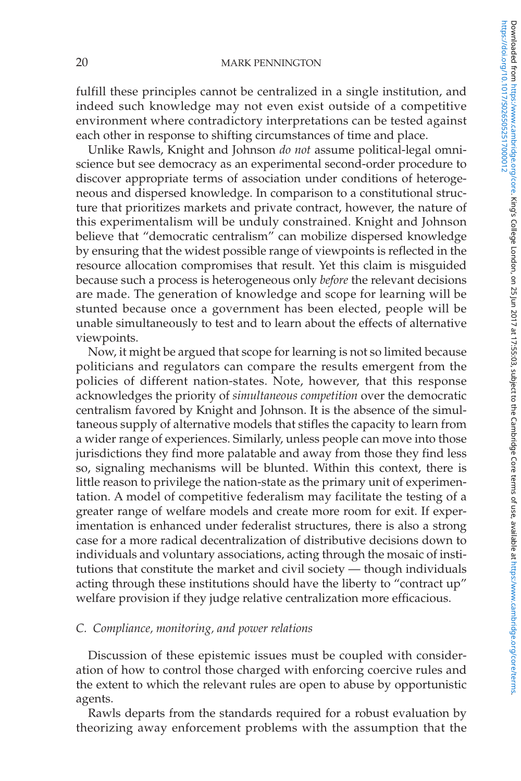fulfill these principles cannot be centralized in a single institution, and indeed such knowledge may not even exist outside of a competitive environment where contradictory interpretations can be tested against each other in response to shifting circumstances of time and place.

 Unlike Rawls, Knight and Johnson *do not* assume political-legal omniscience but see democracy as an experimental second-order procedure to discover appropriate terms of association under conditions of heterogeneous and dispersed knowledge. In comparison to a constitutional structure that prioritizes markets and private contract, however, the nature of this experimentalism will be unduly constrained. Knight and Johnson believe that "democratic centralism" can mobilize dispersed knowledge by ensuring that the widest possible range of viewpoints is reflected in the resource allocation compromises that result. Yet this claim is misguided because such a process is heterogeneous only *before* the relevant decisions are made. The generation of knowledge and scope for learning will be stunted because once a government has been elected, people will be unable simultaneously to test and to learn about the effects of alternative viewpoints.

 Now, it might be argued that scope for learning is not so limited because politicians and regulators can compare the results emergent from the policies of different nation-states. Note, however, that this response acknowledges the priority of *simultaneous competition* over the democratic centralism favored by Knight and Johnson. It is the absence of the simultaneous supply of alternative models that stifles the capacity to learn from a wider range of experiences. Similarly, unless people can move into those jurisdictions they find more palatable and away from those they find less so, signaling mechanisms will be blunted. Within this context, there is little reason to privilege the nation-state as the primary unit of experimentation. A model of competitive federalism may facilitate the testing of a greater range of welfare models and create more room for exit. If experimentation is enhanced under federalist structures, there is also a strong case for a more radical decentralization of distributive decisions down to individuals and voluntary associations, acting through the mosaic of institutions that constitute the market and civil society — though individuals acting through these institutions should have the liberty to "contract up" welfare provision if they judge relative centralization more efficacious.

### *C. Compliance, monitoring, and power relations*

 Discussion of these epistemic issues must be coupled with consideration of how to control those charged with enforcing coercive rules and the extent to which the relevant rules are open to abuse by opportunistic agents.

 Rawls departs from the standards required for a robust evaluation by theorizing away enforcement problems with the assumption that the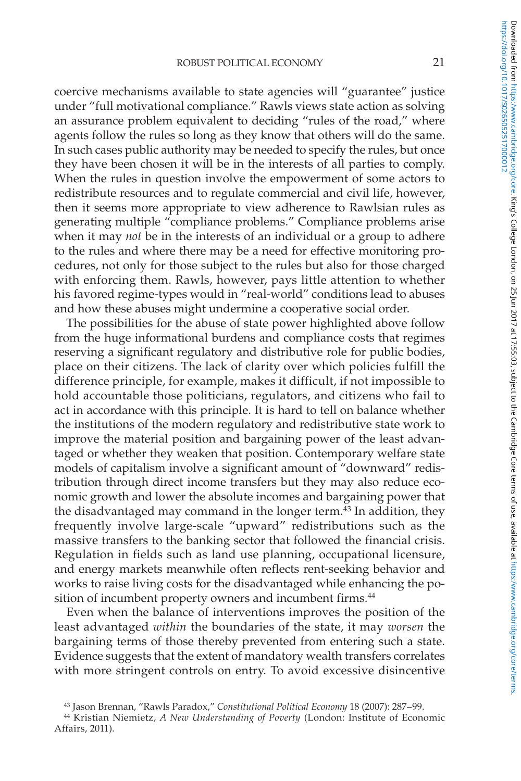coercive mechanisms available to state agencies will "guarantee" justice under "full motivational compliance." Rawls views state action as solving an assurance problem equivalent to deciding "rules of the road," where agents follow the rules so long as they know that others will do the same. In such cases public authority may be needed to specify the rules, but once they have been chosen it will be in the interests of all parties to comply. When the rules in question involve the empowerment of some actors to redistribute resources and to regulate commercial and civil life, however, then it seems more appropriate to view adherence to Rawlsian rules as generating multiple "compliance problems." Compliance problems arise when it may *not* be in the interests of an individual or a group to adhere to the rules and where there may be a need for effective monitoring procedures, not only for those subject to the rules but also for those charged with enforcing them. Rawls, however, pays little attention to whether his favored regime-types would in "real-world" conditions lead to abuses and how these abuses might undermine a cooperative social order.

 The possibilities for the abuse of state power highlighted above follow from the huge informational burdens and compliance costs that regimes reserving a significant regulatory and distributive role for public bodies, place on their citizens. The lack of clarity over which policies fulfill the difference principle, for example, makes it difficult, if not impossible to hold accountable those politicians, regulators, and citizens who fail to act in accordance with this principle. It is hard to tell on balance whether the institutions of the modern regulatory and redistributive state work to improve the material position and bargaining power of the least advantaged or whether they weaken that position. Contemporary welfare state models of capitalism involve a significant amount of "downward" redistribution through direct income transfers but they may also reduce economic growth and lower the absolute incomes and bargaining power that the disadvantaged may command in the longer term.<sup>43</sup> In addition, they frequently involve large-scale "upward" redistributions such as the massive transfers to the banking sector that followed the financial crisis. Regulation in fields such as land use planning, occupational licensure, and energy markets meanwhile often reflects rent-seeking behavior and works to raise living costs for the disadvantaged while enhancing the position of incumbent property owners and incumbent firms.<sup>44</sup>

 Even when the balance of interventions improves the position of the least advantaged *within* the boundaries of the state, it may *worsen* the bargaining terms of those thereby prevented from entering such a state. Evidence suggests that the extent of mandatory wealth transfers correlates with more stringent controls on entry. To avoid excessive disincentive

<sup>&</sup>lt;sup>43</sup> Jason Brennan, "Rawls Paradox," *Constitutional Political Economy* 18 (2007): 287–99.<br><sup>44</sup> Kristian Niemietz, *A New Understanding of Poverty* (London: Institute of Economic Affairs, 2011).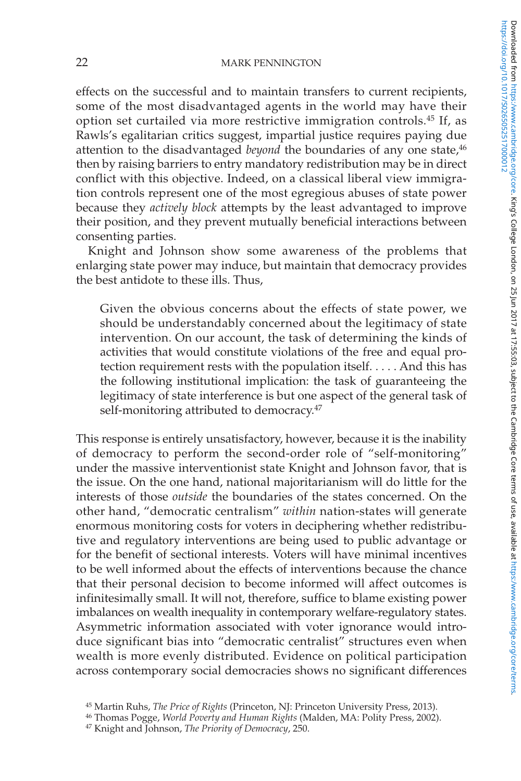effects on the successful and to maintain transfers to current recipients, some of the most disadvantaged agents in the world may have their option set curtailed via more restrictive immigration controls. 45 If, as Rawls's egalitarian critics suggest, impartial justice requires paying due attention to the disadvantaged *beyond* the boundaries of any one state,<sup>46</sup> then by raising barriers to entry mandatory redistribution may be in direct conflict with this objective. Indeed, on a classical liberal view immigration controls represent one of the most egregious abuses of state power because they *actively block* attempts by the least advantaged to improve their position, and they prevent mutually beneficial interactions between consenting parties.

 Knight and Johnson show some awareness of the problems that enlarging state power may induce, but maintain that democracy provides the best antidote to these ills. Thus,

 Given the obvious concerns about the effects of state power, we should be understandably concerned about the legitimacy of state intervention. On our account, the task of determining the kinds of activities that would constitute violations of the free and equal protection requirement rests with the population itself. . . . . And this has the following institutional implication: the task of guaranteeing the legitimacy of state interference is but one aspect of the general task of self-monitoring attributed to democracy.<sup>47</sup>

 This response is entirely unsatisfactory, however, because it is the inability of democracy to perform the second-order role of "self-monitoring" under the massive interventionist state Knight and Johnson favor, that is the issue. On the one hand, national majoritarianism will do little for the interests of those *outside* the boundaries of the states concerned. On the other hand, "democratic centralism" *within* nation-states will generate enormous monitoring costs for voters in deciphering whether redistributive and regulatory interventions are being used to public advantage or for the benefit of sectional interests. Voters will have minimal incentives to be well informed about the effects of interventions because the chance that their personal decision to become informed will affect outcomes is infinitesimally small. It will not, therefore, suffice to blame existing power imbalances on wealth inequality in contemporary welfare-regulatory states. Asymmetric information associated with voter ignorance would introduce significant bias into "democratic centralist" structures even when wealth is more evenly distributed. Evidence on political participation across contemporary social democracies shows no significant differences

<sup>&</sup>lt;sup>45</sup> Martin Ruhs, *The Price of Rights* (Princeton, NJ: Princeton University Press, 2013).<br><sup>46</sup> Thomas Pogge, *World Poverty and Human Rights* (Malden, MA: Polity Press, 2002).<br><sup>47</sup> Knight and Johnson, *The Priority of Dem*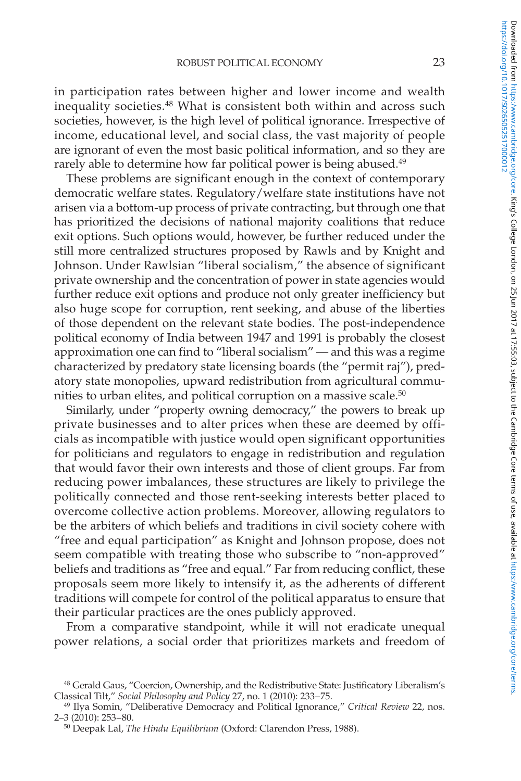in participation rates between higher and lower income and wealth inequality societies. 48 What is consistent both within and across such societies, however, is the high level of political ignorance. Irrespective of income, educational level, and social class, the vast majority of people are ignorant of even the most basic political information, and so they are rarely able to determine how far political power is being abused.<sup>49</sup>

 These problems are significant enough in the context of contemporary democratic welfare states. Regulatory/welfare state institutions have not arisen via a bottom-up process of private contracting, but through one that has prioritized the decisions of national majority coalitions that reduce exit options. Such options would, however, be further reduced under the still more centralized structures proposed by Rawls and by Knight and Johnson. Under Rawlsian "liberal socialism," the absence of significant private ownership and the concentration of power in state agencies would further reduce exit options and produce not only greater inefficiency but also huge scope for corruption, rent seeking, and abuse of the liberties of those dependent on the relevant state bodies. The post-independence political economy of India between 1947 and 1991 is probably the closest approximation one can find to "liberal socialism" — and this was a regime characterized by predatory state licensing boards (the "permit raj"), predatory state monopolies, upward redistribution from agricultural communities to urban elites, and political corruption on a massive scale. 50

 Similarly, under "property owning democracy," the powers to break up private businesses and to alter prices when these are deemed by officials as incompatible with justice would open significant opportunities for politicians and regulators to engage in redistribution and regulation that would favor their own interests and those of client groups. Far from reducing power imbalances, these structures are likely to privilege the politically connected and those rent-seeking interests better placed to overcome collective action problems. Moreover, allowing regulators to be the arbiters of which beliefs and traditions in civil society cohere with "free and equal participation" as Knight and Johnson propose, does not seem compatible with treating those who subscribe to "non-approved" beliefs and traditions as "free and equal." Far from reducing conflict, these proposals seem more likely to intensify it, as the adherents of different traditions will compete for control of the political apparatus to ensure that their particular practices are the ones publicly approved.

 From a comparative standpoint, while it will not eradicate unequal power relations, a social order that prioritizes markets and freedom of

<sup>&</sup>lt;sup>48</sup> Gerald Gaus, "Coercion, Ownership, and the Redistributive State: Justificatory Liberalism's Classical Tilt," Social Philosophy and Policy 27, no. 1 (2010): 233-75.

<sup>&</sup>lt;sup>49</sup> Ilya Somin, "Deliberative Democracy and Political Ignorance," Critical Review 22, nos. 2–3 (2010): 253–80.<br><sup>50</sup> Deepak Lal, *The Hindu Equilibrium* (Oxford: Clarendon Press, 1988).